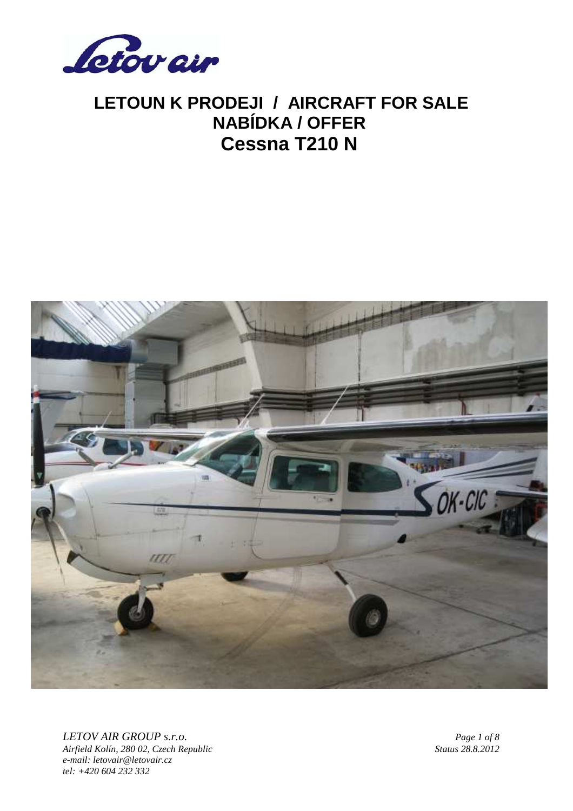

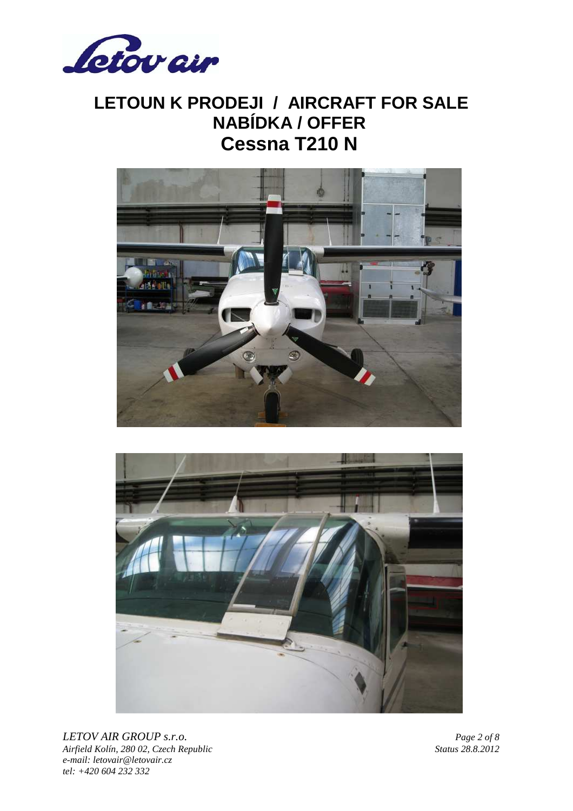





*LETOV AIR GROUP s.r.o. Page 2 of 8 Airfield Kolín, 280 02, Czech Republic Status 28.8.2012 e-mail: letovair@letovair.cz tel: +420 604 232 332*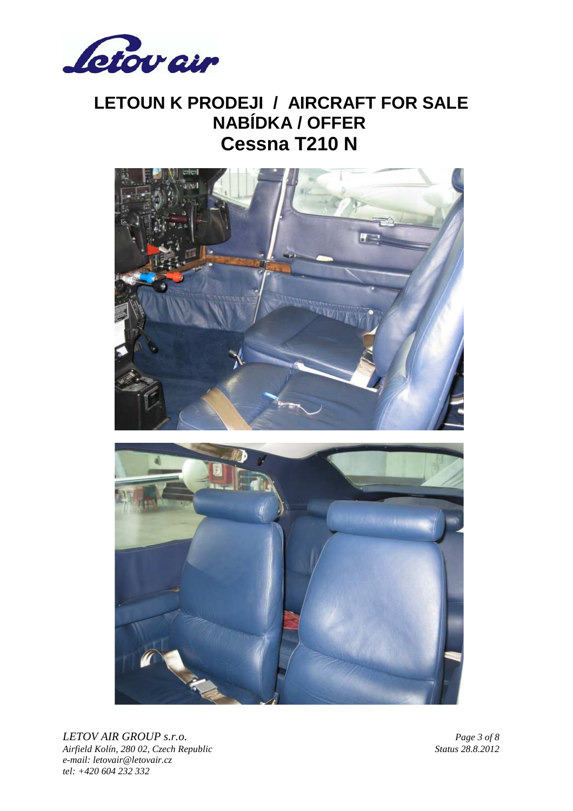

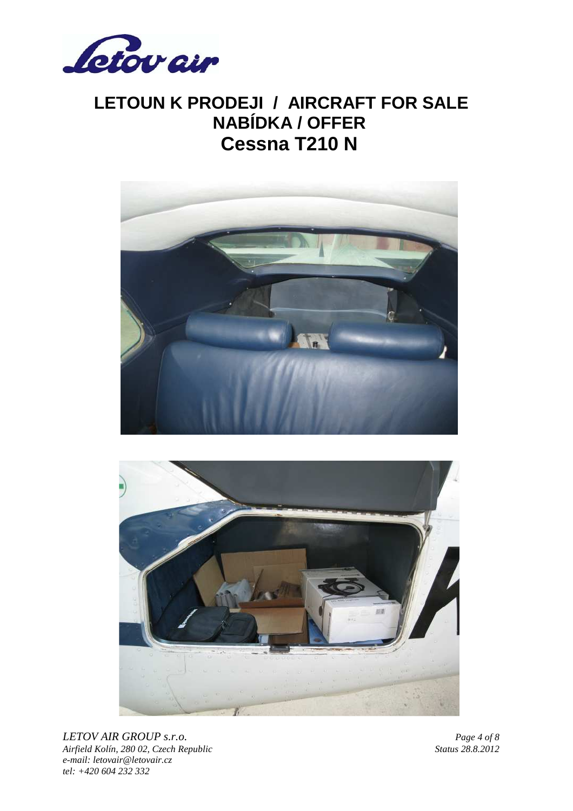





*LETOV AIR GROUP s.r.o. Page 4 of 8 Airfield Kolín, 280 02, Czech Republic Status 28.8.2012 e-mail: letovair@letovair.cz tel: +420 604 232 332*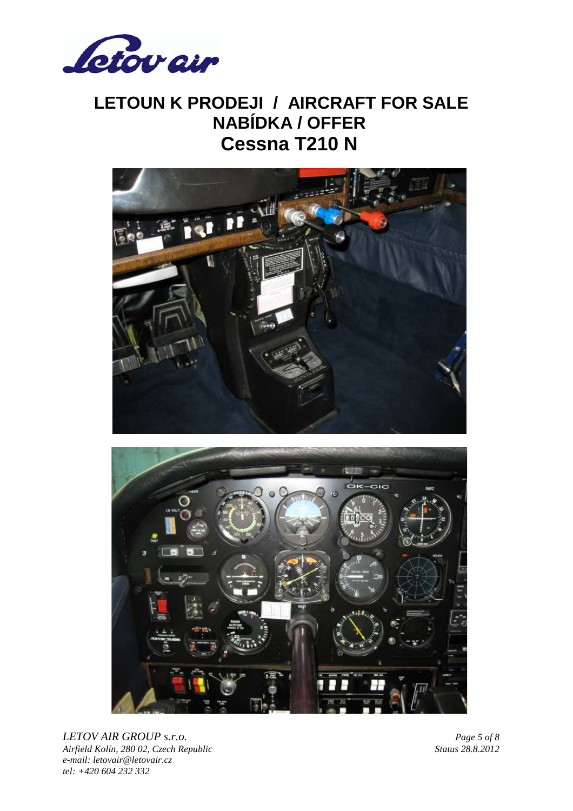





*LETOV AIR GROUP s.r.o. Page 5 of 8 Airfield Kolín, 280 02, Czech Republic Status 28.8.2012 e-mail: letovair@letovair.cz tel: +420 604 232 332*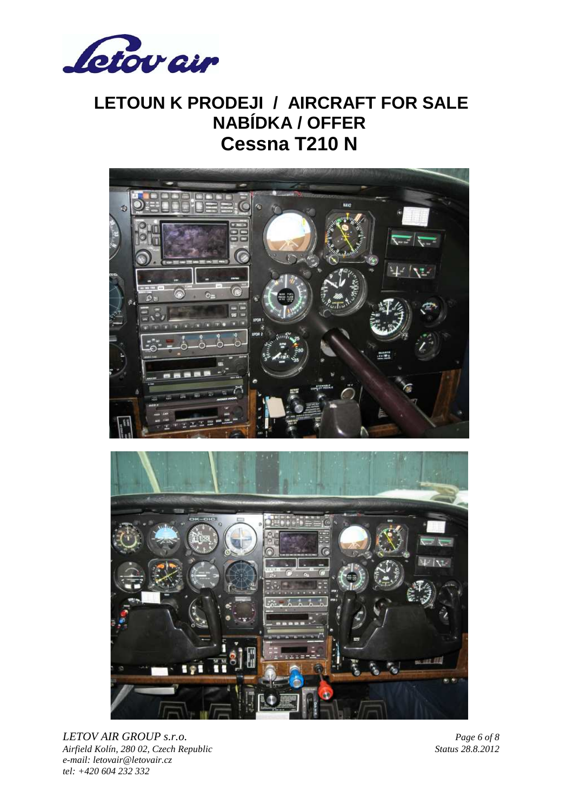





*LETOV AIR GROUP s.r.o. Page 6 of 8 Airfield Kolín, 280 02, Czech Republic Status 28.8.2012 e-mail: letovair@letovair.cz tel: +420 604 232 332*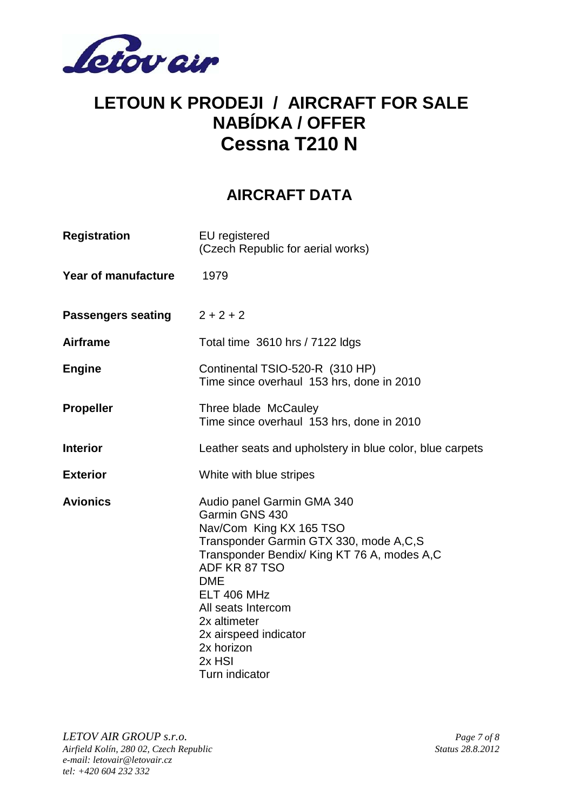

#### **AIRCRAFT DATA**

| <b>Registration</b>       | EU registered<br>(Czech Republic for aerial works)                                                                                                                                                                                                                                                                      |
|---------------------------|-------------------------------------------------------------------------------------------------------------------------------------------------------------------------------------------------------------------------------------------------------------------------------------------------------------------------|
| Year of manufacture       | 1979                                                                                                                                                                                                                                                                                                                    |
| <b>Passengers seating</b> | $2 + 2 + 2$                                                                                                                                                                                                                                                                                                             |
| <b>Airframe</b>           | Total time 3610 hrs / 7122 ldgs                                                                                                                                                                                                                                                                                         |
| <b>Engine</b>             | Continental TSIO-520-R (310 HP)<br>Time since overhaul 153 hrs, done in 2010                                                                                                                                                                                                                                            |
| <b>Propeller</b>          | Three blade McCauley<br>Time since overhaul 153 hrs, done in 2010                                                                                                                                                                                                                                                       |
| <b>Interior</b>           | Leather seats and upholstery in blue color, blue carpets                                                                                                                                                                                                                                                                |
| <b>Exterior</b>           | White with blue stripes                                                                                                                                                                                                                                                                                                 |
| <b>Avionics</b>           | Audio panel Garmin GMA 340<br>Garmin GNS 430<br>Nav/Com King KX 165 TSO<br>Transponder Garmin GTX 330, mode A,C,S<br>Transponder Bendix/ King KT 76 A, modes A,C<br>ADF KR 87 TSO<br><b>DME</b><br>ELT 406 MHz<br>All seats Intercom<br>2x altimeter<br>2x airspeed indicator<br>2x horizon<br>2x HSI<br>Turn indicator |